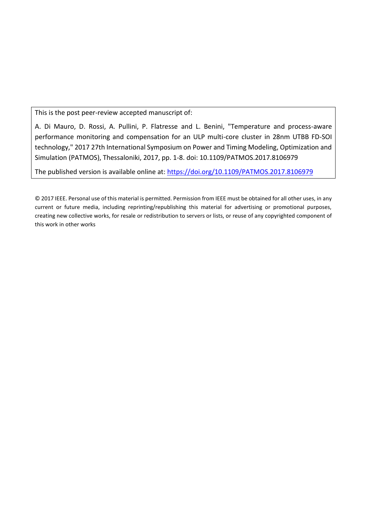This is the post peer-review accepted manuscript of:

A. Di Mauro, D. Rossi, A. Pullini, P. Flatresse and L. Benini, "Temperature and process-aware performance monitoring and compensation for an ULP multi-core cluster in 28nm UTBB FD-SOI technology," 2017 27th International Symposium on Power and Timing Modeling, Optimization and Simulation (PATMOS), Thessaloniki, 2017, pp. 1-8. doi: 10.1109/PATMOS.2017.8106979

The published version is available online at:<https://doi.org/10.1109/PATMOS.2017.8106979>

© 2017 IEEE. Personal use of this material is permitted. Permission from IEEE must be obtained for all other uses, in any current or future media, including reprinting/republishing this material for advertising or promotional purposes, creating new collective works, for resale or redistribution to servers or lists, or reuse of any copyrighted component of this work in other works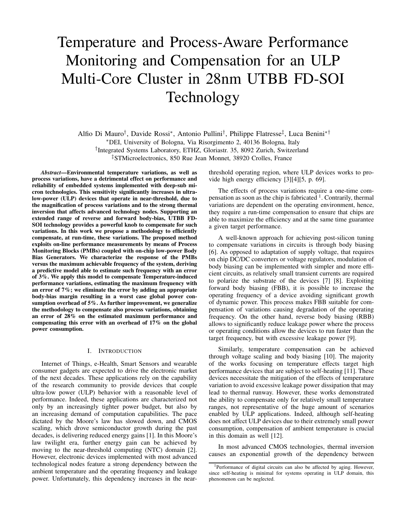# Temperature and Process-Aware Performance Monitoring and Compensation for an ULP Multi-Core Cluster in 28nm UTBB FD-SOI Technology

Alfio Di Mauro† , Davide Rossi<sup>∗</sup> , Antonio Pullini† , Philippe Flatresse‡ , Luca Benini∗† <sup>∗</sup>DEI, University of Bologna, Via Risorgimento 2, 40136 Bologna, Italy † Integrated Systems Laboratory, ETHZ, Gloriastr. 35, 8092 Zurich, Switzerland ‡STMicroelectronics, 850 Rue Jean Monnet, 38920 Crolles, France

*Abstract*—Environmental temperature variations, as well as process variations, have a detrimental effect on performance and reliability of embedded systems implemented with deep-sub micron technologies. This sensitivity significantly increases in ultralow-power (ULP) devices that operate in near-threshold, due to the magnification of process variations and to the strong thermal inversion that affects advanced technology nodes. Supporting an extended range of reverse and forward body-bias, UTBB FD-SOI technology provides a powerful knob to compensate for such variations. In this work we propose a methodology to efficiently compensate, at run-time, these variations. The proposed method exploits on-line performance measurements by means of Process Monitoring Blocks (PMBs) coupled with on-chip low-power Body Bias Generators. We characterize the response of the PMBs versus the maximum achievable frequency of the system, deriving a predictive model able to estimate such frequency with an error of 3%. We apply this model to compensate Temperature-induced performance variations, estimating the maximum frequency with an error of 7%; we eliminate the error by adding an appropriate body-bias margin resulting in a worst case global power consumption overhead of 5%. As further improvement, we generalize the methodology to compensate also process variations, obtaining an error of 28% on the estimated maximum performance and compensating this error with an overhead of 17% on the global power consumption.

#### I. INTRODUCTION

Internet of Things, e-Health, Smart Sensors and wearable consumer gadgets are expected to drive the electronic market of the next decades. These applications rely on the capability of the research community to provide devices that couple ultra-low power (ULP) behavior with a reasonable level of performance. Indeed, these applications are characterized not only by an increasingly tighter power budget, but also by an increasing demand of computation capabilities. The pace dictated by the Moore's law has slowed down, and CMOS scaling, which drove semiconductor growth during the past decades, is delivering reduced energy gains [1]. In this Moore's law twilight era, further energy gain can be achieved by moving to the near-threshold computing (NTC) domain [2]. However, electronic devices implemented with most advanced technological nodes feature a strong dependency between the ambient temperature and the operating frequency and leakage power. Unfortunately, this dependency increases in the nearthreshold operating region, where ULP devices works to provide high energy efficiency [3][4][5, p. 69].

The effects of process variations require a one-time compensation as soon as the chip is fabricated <sup>1</sup>. Contrarily, thermal variations are dependent on the operating environment, hence, they require a run-time compensation to ensure that chips are able to maximize the efficiency and at the same time guarantee a given target performance.

A well-known approach for achieving post-silicon tuning to compensate variations in circuits is through body biasing [6]. As opposed to adaptation of supply voltage, that requires on chip DC/DC converters or voltage regulators, modulation of body biasing can be implemented with simpler and more efficient circuits, as relatively small transient currents are required to polarize the substrate of the devices [7] [8]. Exploiting forward body biasing (FBB), it is possible to increase the operating frequency of a device avoiding significant growth of dynamic power. This process makes FBB suitable for compensation of variations causing degradation of the operating frequency. On the other hand, reverse body biasing (RBB) allows to significantly reduce leakage power where the process or operating conditions allow the devices to run faster than the target frequency, but with excessive leakage power [9].

Similarly, temperature compensation can be achieved through voltage scaling and body biasing [10]. The majority of the works focusing on temperature effects target high performance devices that are subject to self-heating [11]. These devices necessitate the mitigation of the effects of temperature variation to avoid excessive leakage power dissipation that may lead to thermal runway. However, these works demonstrated the ability to compensate only for relatively small temperature ranges, not representative of the huge amount of scenarios enabled by ULP applications. Indeed, although self-heating does not affect ULP devices due to their extremely small power consumption, compensation of ambient temperature is crucial in this domain as well [12].

In most advanced CMOS technologies, thermal inversion causes an exponential growth of the dependency between

<sup>1</sup>Performance of digital circuits can also be affected by aging. However, since self-heating is minimal for systems operating in ULP domain, this phenomenon can be neglected.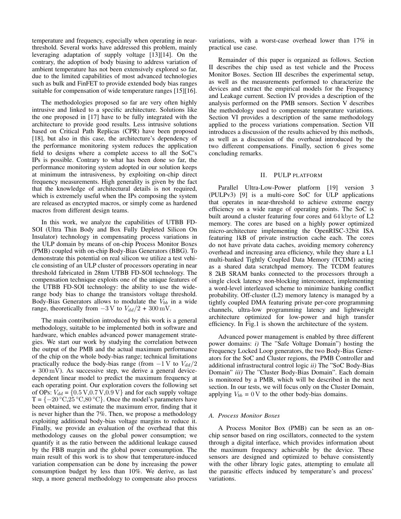temperature and frequency, especially when operating in nearthreshold. Several works have addressed this problem, mainly leveraging adaptation of supply voltage [13][14]. On the contrary, the adoption of body biasing to address variation of ambient temperature has not been extensively explored so far, due to the limited capabilities of most advanced technologies such as bulk and FinFET to provide extended body bias ranges suitable for compensation of wide temperature ranges [15][16].

The methodologies proposed so far are very often highly intrusive and linked to a specific architecture. Solutions like the one proposed in [17] have to be fully integrated with the architecture to provide good results. Less intrusive solutions based on Critical Path Replicas (CPR) have been proposed [18], but also in this case, the architecture's dependency of the performance monitoring system reduces the application field to designs where a complete access to all the SoC's IPs is possible. Contrary to what has been done so far, the performance monitoring system adopted in our solution keeps at minimum the intrusiveness, by exploiting on-chip direct frequency measurements. High generality is given by the fact that the knowledge of architectural details is not required, which is extremely useful when the IPs composing the system are released as encrypted macros, or simply come as hardened macros from different design teams.

In this work, we analyze the capabilities of UTBB FD-SOI (Ultra Thin Body and Box Fully Depleted Silicon On Insulator) technology in compensating process variations in the ULP domain by means of on-chip Process Monitor Boxes (PMB) coupled with on-chip Body-Bias Generators (BBG). To demonstrate this potential on real silicon we utilize a test vehicle consisting of an ULP cluster of processors operating in near threshold fabricated in 28nm UTBB FD-SOI technology. The compensation technique exploits one of the unique features of the UTBB FD-SOI technology: the ability to use the widerange body bias to change the transistors voltage threshold. Body-Bias Generators allows to modulate the  $V_{bb}$  in a wide range, theoretically from  $-3 \text{ V}$  to  $V_{dd}/2 + 300 \text{ mV}$ .

The main contribution introduced by this work is a general methodology, suitable to be implemented both in software and hardware, which enables advanced power management strategies. We start our work by studying the correlation between the output of the PMB and the actual maximum performance of the chip on the whole body-bias range; technical limitations practically reduce the body-bias range (from  $-1$  V to  $V_{dd}/2$ + 300 mV). As successive step, we derive a general devicedependent linear model to predict the maximum frequency at each operating point. Our exploration covers the following set of OPs:  $V_{dd} = \{0.5 \text{ V}, 0.7 \text{ V}, 0.9 \text{ V}\}\$ and for each supply voltage  $T = \{-20 °C, 25 °C, 80 °C\}$ . Once the model's parameters have been obtained, we estimate the maximum error, finding that it is never higher than the 7%. Then, we propose a methodology exploiting additional body-bias voltage margins to reduce it. Finally, we provide an evaluation of the overhead that this methodology causes on the global power consumption; we quantify it as the ratio between the additional leakage caused by the FBB margin and the global power consumption. The main result of this work is to show that temperature-induced variation compensation can be done by increasing the power consumption budget by less than 10%. We derive, as last step, a more general methodology to compensate also process variations, with a worst-case overhead lower than 17% in practical use case.

Remainder of this paper is organized as follows. Section II describes the chip used as test vehicle and the Process Monitor Boxes. Section III describes the experimental setup, as well as the measurements performed to characterize the devices and extract the empirical models for the Frequency and Leakage current. Section IV provides a description of the analysis performed on the PMB sensors. Section V describes the methodology used to compensate temperature variations. Section VI provides a description of the same methodology applied to the process variations compensation. Section VII introduces a discussion of the results achieved by this methods, as well as a discussion of the overhead introduced by the two different compensations. Finally, section 6 gives some concluding remarks.

# II. PULP PLATFORM

Parallel Ultra-Low-Power platform [19] version 3 (PULPv3) [9] is a multi-core SoC for ULP applications that operates in near-threshold to achieve extreme energy efficiency on a wide range of operating points. The SoC is built around a cluster featuring four cores and 64 kbyte of L2 memory. The cores are based on a highly power optimized micro-architecture implementing the OpenRISC-32bit ISA featuring 1kB of private instruction cache each. The cores do not have private data caches, avoiding memory coherency overhead and increasing area efficiency, while they share a L1 multi-banked Tightly Coupled Data Memory (TCDM) acting as a shared data scratchpad memory. The TCDM features 8 2kB SRAM banks connected to the processors through a single clock latency non-blocking interconnect, implementing a word-level interleaved scheme to minimize banking conflict probability. Off-cluster (L2) memory latency is managed by a tightly coupled DMA featuring private per-core programming channels, ultra-low programming latency and lightweight architecture optimized for low-power and high transfer efficiency. In Fig.1 is shown the architecture of the system.

Advanced power management is enabled by three different power domains: *i)* The "Safe Voltage Domain") hosting the Frequency Locked Loop generators, the two Body-Bias Generators for the SoC and Cluster regions, the PMB Controller and additional infrastructural control logic *ii)* The "SoC Body-Bias Domain" *iii)* The "Cluster Body-Bias Domain". Each domain is monitored by a PMB, which will be described in the next section. In our tests, we will focus only on the Cluster Domain, applying  $V_{bb} = 0$  V to the other body-bias domains.

## *A. Process Monitor Boxes*

A Process Monitor Box (PMB) can be seen as an onchip sensor based on ring oscillators, connected to the system through a digital interface, which provides information about the maximum frequency achievable by the device. These sensors are designed and optimized to behave consistently with the other library logic gates, attempting to emulate all the parasitic effects induced by temperature's and process' variations.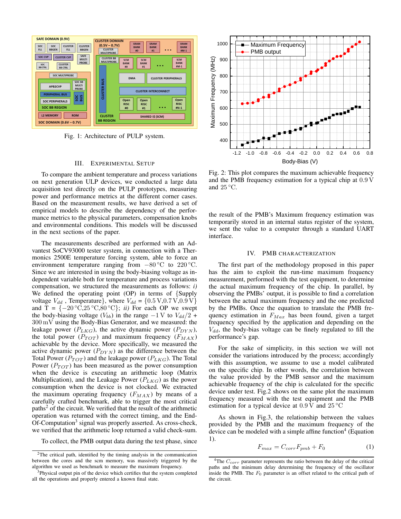

Fig. 1: Architecture of PULP system.

#### III. EXPERIMENTAL SETUP

To compare the ambient temperature and process variations on next generation ULP devices, we conducted a large data acquisition test directly on the PULP prototypes, measuring power and performance metrics at the different corner cases. Based on the measurement results, we have derived a set of empirical models to describe the dependency of the performance metrics to the physical parameters, compensation knobs and environmental conditions. This models will be discussed in the next sections of the paper.

The measurements described are performed with an Advantest SoCV93000 tester system, in connection with a Thermonics 2500E temperature forcing system, able to force an environment temperature ranging from  $-80^{\circ}\text{C}$  to 220 °C. Since we are interested in using the body-biasing voltage as independent variable both for temperature and process variations compensation, we structured the measurements as follows: *i)* We defined the operating point (OP) in terms of {Supply voltage  $V_{dd}$ , Temperature}, where  $V_{dd} = \{0.5 \text{ V}, 0.7 \text{ V}, 0.9 \text{ V}\}\$ and T =  $\{-20\text{ °C}, 25\text{ °C}, 80\text{ °C}\}\;$ ; *ii*) For each OP we swept the body-biasing voltage ( $V_{bb}$ ) in the range  $-1$  V to  $V_{dd}/2$  + 300 mV using the Body-Bias Generator, and we measured: the leakage power ( $P_{LKG}$ ), the active dynamic power ( $P_{DYN}$ ), the total power  $(P_{TOT})$  and maximum frequency  $(F_{MAX})$ achievable by the device. More specifically, we measured the active dynamic power  $(P_{DYN})$  as the difference between the Total Power ( $P_{TOT}$ ) and the leakage power ( $P_{LKG}$ ). The Total Power  $(P_{TOT})$  has been measured as the power consumption when the device is executing an arithmetic loop (Matrix Multiplication), and the Leakage Power  $(P_{LKG})$  as the power consumption when the device is not clocked. We extracted the maximum operating frequency  $(F_{MAX})$  by means of a carefully crafted benchmark, able to trigger the most critical paths<sup>2</sup> of the circuit. We verified that the result of the arithmetic operation was returned with the correct timing, and the End-Of-Computation<sup>3</sup> signal was properly asserted. As cross-check, we verified that the arithmetic loop returned a valid check-sum.

To collect, the PMB output data during the test phase, since



Fig. 2: This plot compares the maximum achievable frequency and the PMB frequency estimation for a typical chip at 0.9 V and  $25^{\circ}$ C.

the result of the PMB's Maximum frequency estimation was temporarily stored in an internal status register of the system, we sent the value to a computer through a standard UART interface.

#### IV. PMB CHARACTERIZATION

The first part of the methodology proposed in this paper has the aim to exploit the run-time maximum frequency measurement, performed with the test equipment, to determine the actual maximum frequency of the chip. In parallel, by observing the PMBs' output, it is possible to find a correlation between the actual maximum frequency and the one predicted by the PMBs. Once the equation to translate the PMB frequency estimation in  $F_{Max}$  has been found, given a target frequency specified by the application and depending on the  $V_{dd}$ , the body-bias voltage can be finely regulated to fill the performance's gap.

For the sake of simplicity, in this section we will not consider the variations introduced by the process; accordingly with this assumption, we assume to use a model calibrated on the specific chip. In other words, the correlation between the value provided by the PMB sensor and the maximum achievable frequency of the chip is calculated for the specific device under test. Fig.2 shows on the same plot the maximum frequency measured with the test equipment and the PMB estimation for a typical device at  $0.9 \text{ V}$  and  $25 \degree \text{C}$ 

As shown in Fig.3, the relationship between the values provided by the PMB and the maximum frequency of the device can be modeled with a simple affine function<sup>4</sup> (Equation 1).

$$
F_{max} = C_{corr}F_{pmb} + F_0 \tag{1}
$$

<sup>&</sup>lt;sup>2</sup>The critical path, identified by the timing analysis in the communication between the cores and the scm memory, was massively triggered by the algorithm we used as benchmark to measure the maximum frequency.

<sup>&</sup>lt;sup>3</sup>Physical output pin of the device which certifies that the system completed all the operations and properly entered a known final state.

<sup>&</sup>lt;sup>4</sup>The  $C_{corr}$  parameter represents the ratio between the delay of the critical paths and the minimum delay determining the frequency of the oscillator inside the PMB. The  $F_0$  parameter is an offset related to the critical path of the circuit.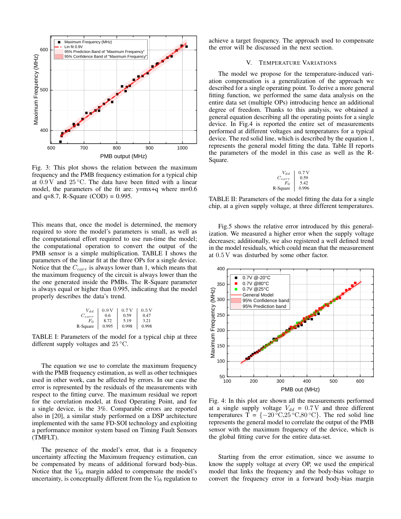

Fig. 3: This plot shows the relation between the maximum frequency and the PMB frequency estimation for a typical chip at  $0.9 \text{ V}$  and  $25 \degree \text{C}$ . The data have been fitted with a linear model, the parameters of the fit are: y=mx+q where m=0.6 and  $q=8.7$ , R-Square (COD) = 0.995.

This means that, once the model is determined, the memory required to store the model's parameters is small, as well as the computational effort required to use run-time the model; the computational operation to convert the output of the PMB sensor is a simple multiplication. TABLE I shows the parameters of the linear fit at the three OPs for a single device. Notice that the  $C_{corr}$  is always lower than 1, which means that the maximum frequency of the circuit is always lower than the the one generated inside the PMBs. The R-Square parameter is always equal or higher than 0.995, indicating that the model properly describes the data's trend.

| Vaa        | 0.9V  | 0.7V  | 0.5V  |
|------------|-------|-------|-------|
| $C_{corr}$ | 0.6   | 0.59  | 0.47  |
| $F_{0}$    | 8.72  | 5.19  | 3.21  |
| R-Square   | 0.995 | 0.998 | 0.998 |

TABLE I: Parameters of the model for a typical chip at three different supply voltages and  $25^{\circ}$ C.

The equation we use to correlate the maximum frequency with the PMB frequency estimation, as well as other techniques used in other work, can be affected by errors. In our case the error is represented by the residuals of the measurements with respect to the fitting curve. The maximum residual we report for the correlation model, at fixed Operating Point, and for a single device, is the 3%. Comparable errors are reported also in [20], a similar study performed on a DSP architecture implemented with the same FD-SOI technology and exploiting a performance monitor system based on Timing Fault Sensors (TMFLT).

The presence of the model's error, that is a frequency uncertainty affecting the Maximum frequency estimation, can be compensated by means of additional forward body-bias. Notice that the  $V_{bb}$  margin added to compensate the model's uncertainty, is conceptually different from the  $V_{bb}$  regulation to

achieve a target frequency. The approach used to compensate the error will be discussed in the next section.

# V. TEMPERATURE VARIATIONS

The model we propose for the temperature-induced variation compensation is a generalization of the approach we described for a single operating point. To derive a more general fitting function, we performed the same data analysis on the entire data set (multiple OPs) introducing hence an additional degree of freedom. Thanks to this analysis, we obtained a general equation describing all the operating points for a single device. In Fig.4 is reported the entire set of measurements performed at different voltages and temperatures for a typical device. The red solid line, which is described by the equation 1, represents the general model fitting the data. Table II reports the parameters of the model in this case as well as the R-Square.

$$
\begin{array}{c|c}\nV_{dd} & 0.7 \text{ V} \\
C_{corr} & 0.59 \\
F_0 & 5.42 \\
\text{R-Square} & 0.996\n\end{array}
$$

TABLE II: Parameters of the model fitting the data for a single chip, at a given supply voltage, at three different temperatures.

Fig.5 shows the relative error introduced by this generalization. We measured a higher error when the supply voltage decreases; additionally, we also registered a well defined trend in the model residuals, which could mean that the measurement at 0.5 V was disturbed by some other factor.



Fig. 4: In this plot are shown all the measurements performed at a single supply voltage  $V_{dd} = 0.7 \text{ V}$  and three different temperatures T =  $\{-20 °C, 25 °C, 80 °C\}$ . The red solid line represents the general model to correlate the output of the PMB sensor with the maximum frequency of the device, which is the global fitting curve for the entire data-set.

Starting from the error estimation, since we assume to know the supply voltage at every OP, we used the empirical model that links the frequency and the body-bias voltage to convert the frequency error in a forward body-bias margin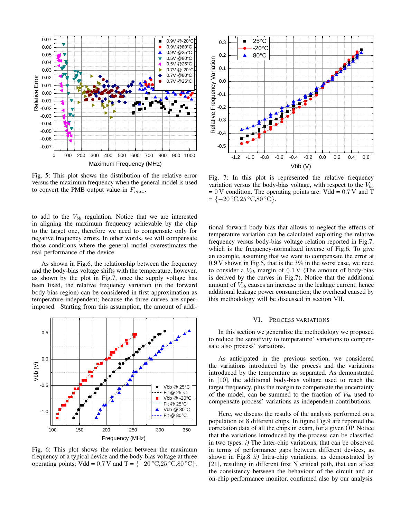

Fig. 5: This plot shows the distribution of the relative error versus the maximum frequency when the general model is used to convert the PMB output value in  $F_{max}$ .

to add to the  $V_{bb}$  regulation. Notice that we are interested in aligning the maximum frequency achievable by the chip to the target one, therefore we need to compensate only for negative frequency errors. In other words, we will compensate those conditions where the general model overestimates the real performance of the device.

As shown in Fig.6, the relationship between the frequency and the body-bias voltage shifts with the temperature, however, as shown by the plot in Fig.7, once the supply voltage has been fixed, the relative frequency variation (in the forward body-bias region) can be considered in first approximation as temperature-independent; because the three curves are superimposed. Starting from this assumption, the amount of addi-



Fig. 6: This plot shows the relation between the maximum frequency of a typical device and the body-bias voltage at three operating points: Vdd =  $0.7$  V and T =  $\{-20\degree\text{C},25\degree\text{C},80\degree\text{C}\}.$ 



Fig. 7: In this plot is represented the relative frequency variation versus the body-bias voltage, with respect to the  $V_{bb}$  $= 0$  V condition. The operating points are: Vdd  $= 0.7$  V and T  $= \{-20 °C, 25 °C, 80 °C\}.$ 

tional forward body bias that allows to neglect the effects of temperature variation can be calculated exploiting the relative frequency versus body-bias voltage relation reported in Fig.7, which is the frequency-normalized inverse of Fig.6. To give an example, assuming that we want to compensate the error at 0.9 V shown in Fig.5, that is the 3% in the worst case, we need to consider a  $V_{bb}$  margin of 0.1 V (The amount of body-bias is derived by the curves in Fig.7). Notice that the additional amount of  $V_{bb}$  causes an increase in the leakage current, hence additional leakage power consumption; the overhead caused by this methodology will be discussed in section VII.

# VI. PROCESS VARIATIONS

In this section we generalize the methodology we proposed to reduce the sensitivity to temperature' variations to compensate also process' variations.

As anticipated in the previous section, we considered the variations introduced by the process and the variations introduced by the temperature as separated. As demonstrated in [10], the additional body-bias voltage used to reach the target frequency, plus the margin to compensate the uncertainty of the model, can be summed to the fraction of  $V_{bb}$  used to compensate process' variations as independent contributions.

Here, we discuss the results of the analysis performed on a population of 8 different chips. In figure Fig.9 are reported the correlation data of all the chips in exam, for a given OP. Notice that the variations introduced by the process can be classified in two types: *i)* The Inter-chip variations, that can be observed in terms of performance gaps between different devices, as shown in Fig.8 *ii)* Intra-chip variations, as demonstrated by [21], resulting in different first N critical path, that can affect the consistency between the behaviour of the circuit and an on-chip performance monitor, confirmed also by our analysis.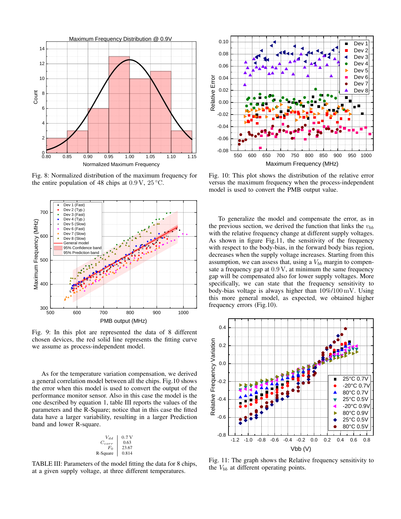

Fig. 8: Normalized distribution of the maximum frequency for the entire population of 48 chips at  $0.9 \text{ V}$ ,  $25 \degree \text{C}$ .



Fig. 9: In this plot are represented the data of 8 different chosen devices, the red solid line represents the fitting curve we assume as process-independent model.

As for the temperature variation compensation, we derived a general correlation model between all the chips. Fig.10 shows the error when this model is used to convert the output of the performance monitor sensor. Also in this case the model is the one described by equation 1, table III reports the values of the parameters and the R-Square; notice that in this case the fitted data have a larger variability, resulting in a larger Prediction band and lower R-square.

| $V_{dd}$   | 0.7V  |
|------------|-------|
| $C_{corr}$ | 0.63  |
| $F_{0}$    | 23.67 |
| R-Square   | 0.814 |

TABLE III: Parameters of the model fitting the data for 8 chips, at a given supply voltage, at three different temperatures.



Fig. 10: This plot shows the distribution of the relative error versus the maximum frequency when the process-independent model is used to convert the PMB output value.

To generalize the model and compensate the error, as in the previous section, we derived the function that links the  $v_{bb}$ with the relative frequency change at different supply voltages. As shown in figure Fig.11, the sensitivity of the frequency with respect to the body-bias, in the forward body bias region, decreases when the supply voltage increases. Starting from this assumption, we can assess that, using a  $V_{bb}$  margin to compensate a frequency gap at 0.9 V, at minimum the same frequency gap will be compensated also for lower supply voltages. More specifically, we can state that the frequency sensitivity to body-bias voltage is always higher than 10%/100 mV. Using this more general model, as expected, we obtained higher frequency errors (Fig.10).



Fig. 11: The graph shows the Relative frequency sensitivity to the  $V_{bb}$  at different operating points.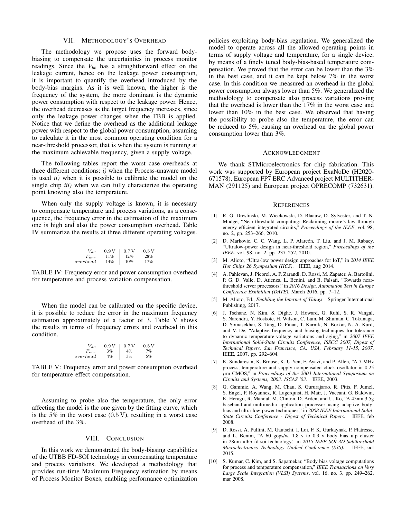#### VII. METHODOLOGY'S OVERHEAD

The methodology we propose uses the forward bodybiasing to compensate the uncertainties in process monitor readings. Since the  $V_{bb}$  has a straightforward effect on the leakage current, hence on the leakage power consumption, it is important to quantify the overhead introduced by the body-bias margins. As it is well known, the higher is the frequency of the system, the more dominant is the dynamic power consumption with respect to the leakage power. Hence, the overhead decreases as the target frequency increases, since only the leakage power changes when the FBB is applied. Notice that we define the overhead as the additional leakage power with respect to the global power consumption, assuming to calculate it in the most common operating condition for a near-threshold processor, that is when the system is running at the maximum achievable frequency, given a supply voltage.

The following tables report the worst case overheads at three different conditions: *i)* when the Process-unaware model is used *ii)* when it is possible to calibrate the model on the single chip *iii)* when we can fully characterize the operating point knowing also the temperature.

When only the supply voltage is known, it is necessary to compensate temperature and process variations, as a consequence, the frequency error in the estimation of the maximum one is high and also the power consumption overhead. Table IV summarize the results at three different operating voltages.

| ' a a    | 0.9V | 0.7V | 0.5V |
|----------|------|------|------|
| $_{err}$ | 11%  | 12%  | 28%  |
| overhead | 14%  | 10%  | 17%  |

TABLE IV: Frequency error and power consumption overhead for temperature and process variation compensation.

When the model can be calibrated on the specific device, it is possible to reduce the error in the maximum frequency estimation approximately of a factor of 3. Table V shows the results in terms of frequency errors and overhead in this condition.

$$
\begin{array}{c|c|c} V_{dd} & 0.9 \, \mathrm{V} & 0.7 \, \mathrm{V} & 0.5 \, \mathrm{V} \\ F_{err} & 3\% & 4\% & 7\% \\ overhead & 4\% & 3\% & 5\% \\ \end{array}
$$

TABLE V: Frequency error and power consumption overhead for temperature effect compensation.

Assuming to probe also the temperature, the only error affecting the model is the one given by the fitting curve, which is the 5% in the worst case  $(0.5 \text{ V})$ , resulting in a worst case overhead of the 3%.

## VIII. CONCLUSION

In this work we demonstrated the body-biasing capabilities of the UTBB FD-SOI technology in compensating temperature and process variations. We developed a methodology that provides run-time Maximum Frequency estimation by means of Process Monitor Boxes, enabling performance optimization policies exploiting body-bias regulation. We generalized the model to operate across all the allowed operating points in terms of supply voltage and temperature, for a single device, by means of a finely tuned body-bias-based temperature compensation. We proved that the error can be lower than the 3% in the best case, and it can be kept below 7% in the worst case. In this condition we measured an overhead in the global power consumption always lower than 5%. We generalized the methodology to compensate also process variations proving that the overhead is lower than the 17% in the worst case and lower than 10% in the best case. We observed that having the possibility to probe also the temperature, the error can be reduced to 5%, causing an overhead on the global power consumption lower than 3%.

## ACKNOWLEDGMENT

We thank STMicroelectronics for chip fabrication. This work was supported by European project ExaNoDe (H2020- 671578), European FP7 ERC Advanced project MULTITHER-MAN (291125) and European project OPRECOMP (732631).

# **REFERENCES**

- [1] R. G. Dreslinski, M. Wieckowski, D. Blaauw, D. Sylvester, and T. N. Mudge, "Near-threshold computing: Reclaiming moore's law through energy efficient integrated circuits," *Proceedings of the IEEE*, vol. 98, no. 2, pp. 253–266, 2010.
- [2] D. Markovic, C. C. Wang, L. P. Alarcón, T. Liu, and J. M. Rabaey, "Ultralow-power design in near-threshold region," *Proceedings of the IEEE*, vol. 98, no. 2, pp. 237–252, 2010.
- [3] M. Alioto, "Ultra-low power design approaches for IoT," in *2014 IEEE Hot Chips 26 Symposium (HCS)*. IEEE, aug 2014.
- [4] A. Pahlevan, J. Picorel, A. P. Zarandi, D. Rossi, M. Zapater, A. Bartolini, P. G. D. Valle, D. Atienza, L. Benini, and B. Falsafi, "Towards nearthreshold server processors," in *2016 Design, Automation Test in Europe Conference Exhibition (DATE)*, March 2016, pp. 7–12.
- [5] M. Alioto, Ed., *Enabling the Internet of Things*. Springer International Publishing, 2017.
- [6] J. Tschanz, N. Kim, S. Dighe, J. Howard, G. Ruhl, S. R. Vangal, S. Narendra, Y. Hoskote, H. Wilson, C. Lam, M. Shuman, C. Tokunaga, D. Somasekhar, S. Tang, D. Finan, T. Karnik, N. Borkar, N. A. Kurd, and V. De, "Adaptive frequency and biasing techniques for tolerance to dynamic temperature-voltage variations and aging," in *2007 IEEE International Solid-State Circuits Conference, ISSCC 2007, Digest of Technical Papers, San Francisco, CA, USA, February 11-15, 2007*. IEEE, 2007, pp. 292–604.
- [7] K. Sundaresan, K. Brouse, K. U-Yen, F. Ayazi, and P. Allen, "A 7-MHz process, temperature and supply compensated clock oscillator in 0.25 µm CMOS," in *Proceedings of the 2003 International Symposium on Circuits and Systems, 2003. ISCAS '03.* IEEE, 2003.
- [8] G. Gammie, A. Wang, M. Chau, S. Gururajarao, R. Pitts, F. Jumel, S. Engel, P. Royannez, R. Lagerquist, H. Mair, J. Vaccani, G. Baldwin, K. Heragu, R. Mandal, M. Clinton, D. Arden, and U. Ko, "A 45nm 3.5g baseband-and-multimedia application processor using adaptive bodybias and ultra-low-power techniques," in *2008 IEEE International Solid-State Circuits Conference - Digest of Technical Papers*. IEEE, feb 2008.
- [9] D. Rossi, A. Pullini, M. Gautschi, I. Loi, F. K. Gurkaynak, P. Flatresse, and L. Benini, "A 60 gops/w, 1.8 v to 0.9 v body bias ulp cluster in 28nm utbb fd-soi technology," in *2015 IEEE SOI-3D-Subthreshold Microelectronics Technology Unified Conference (S3S)*. IEEE, oct 2015.
- [10] S. Kumar, C. Kim, and S. Sapatnekar, "Body bias voltage computations for process and temperature compensation," *IEEE Transactions on Very Large Scale Integration (VLSI) Systems*, vol. 16, no. 3, pp. 249–262, mar 2008.